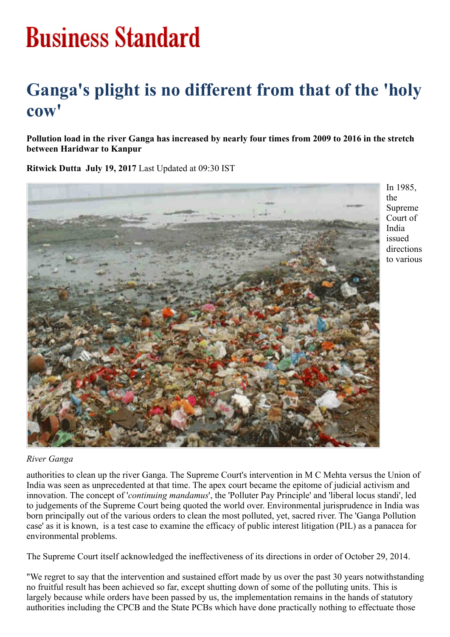## **Business Standard**

## Ganga's plight is no different from that of the 'holy cow'

Pollution load in the river Ganga has increased by nearly four times from 2009 to 2016 in the stretch between Haridwar to Kanpur

Ritwick Dutta July 19, 2017 Last Updated at 09:30 IST



In 1985, the Supreme Court of India issued directions to various

## *River Ganga*

authorities to clean up the river Ganga. The Supreme Court's intervention in M C Mehta versus the Union of India was seen as unprecedented at that time. The apex court became the epitome of judicial activism and innovation. The concept of '*continuing mandamus*', the 'Polluter Pay Principle' and 'liberal locus standi', led to judgements of the Supreme Court being quoted the world over. Environmental jurisprudence in India was born principally out of the various orders to clean the most polluted, yet, sacred river. The 'Ganga Pollution case' as it is known, is a test case to examine the efficacy of public interest litigation (PIL) as a panacea for environmental problems.

The Supreme Court itself acknowledged the ineffectiveness of its directions in order of October 29, 2014.

"We regret to say that the intervention and sustained effort made by us over the past 30 years notwithstanding no fruitful result has been achieved so far, except shutting down of some of the polluting units. This is largely because while orders have been passed by us, the implementation remains in the hands of statutory authorities including the CPCB and the State PCBs which have done practically nothing to effectuate those